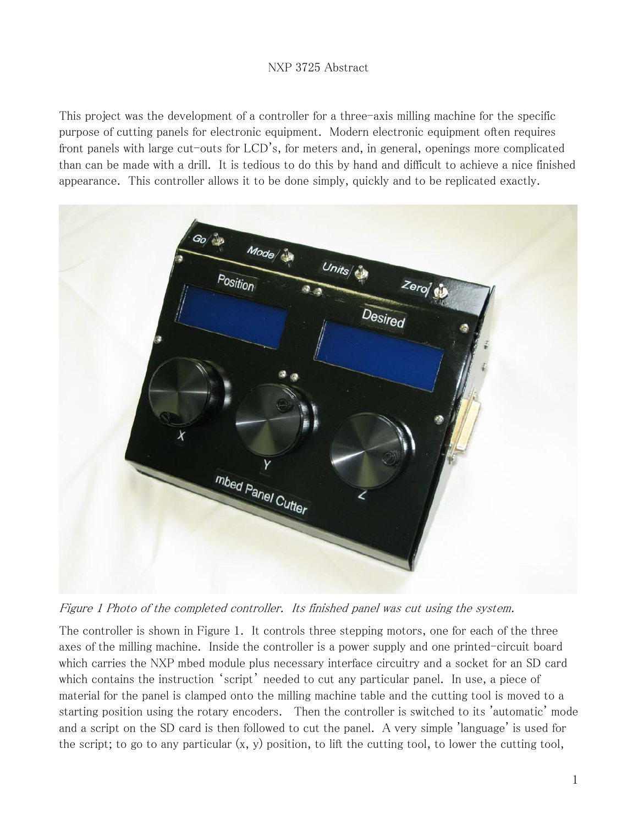## NXP 3725 Abstract

This project was the development of a controller for a three-axis milling machine for the specific purpose of cutting panels for electronic equipment. Modern electronic equipment often requires front panels with large cut-outs for LCD's, for meters and, in general, openings more complicated than can be made with a drill. It is tedious to do this by hand and difficult to achieve a nice finished appearance. This controller allows it to be done simply, quickly and to be replicated exactly.



Figure 1 Photo of the completed controller. Its finished panel was cut using the system.

The controller is shown in Figure 1. It controls three stepping motors, one for each of the three axes of the milling machine. Inside the controller is a power supply and one printed-circuit board which carries the NXP mbed module plus necessary interface circuitry and a socket for an SD card which contains the instruction 'script' needed to cut any particular panel. In use, a piece of material for the panel is clamped onto the milling machine table and the cutting tool is moved to a starting position using the rotary encoders. Then the controller is switched to its 'automatic' mode and a script on the SD card is then followed to cut the panel. A very simple 'language' is used for the script; to go to any particular (x, y) position, to lift the cutting tool, to lower the cutting tool,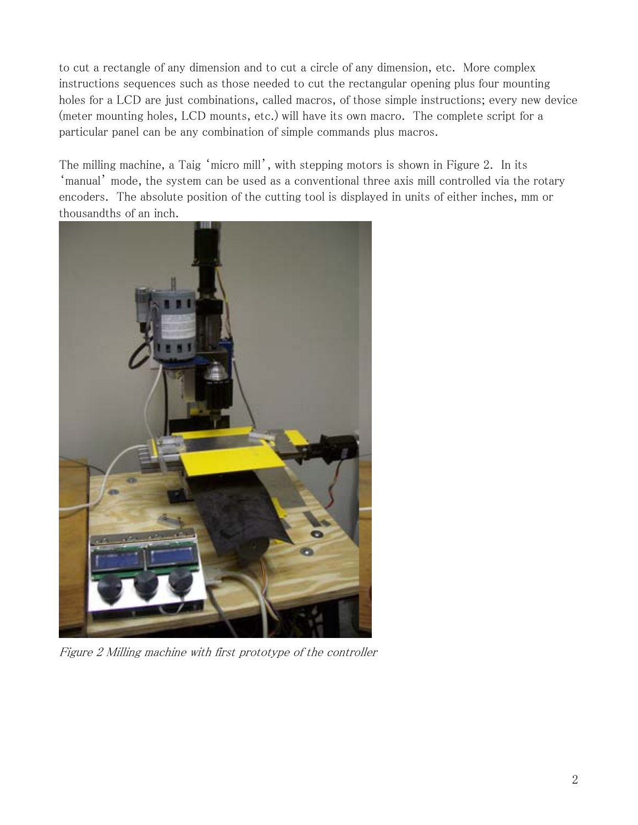to cut a rectangle of any dimension and to cut a circle of any dimension, etc. More complex instructions sequences such as those needed to cut the rectangular opening plus four mounting holes for a LCD are just combinations, called macros, of those simple instructions; every new device (meter mounting holes, LCD mounts, etc.) will have its own macro. The complete script for a particular panel can be any combination of simple commands plus macros.

The milling machine, a Taig 'micro mill', with stepping motors is shown in Figure 2. In its 'manual' mode, the system can be used as a conventional three axis mill controlled via the rotary encoders. The absolute position of the cutting tool is displayed in units of either inches, mm or thousandths of an inch.



Figure 2 Milling machine with first prototype of the controller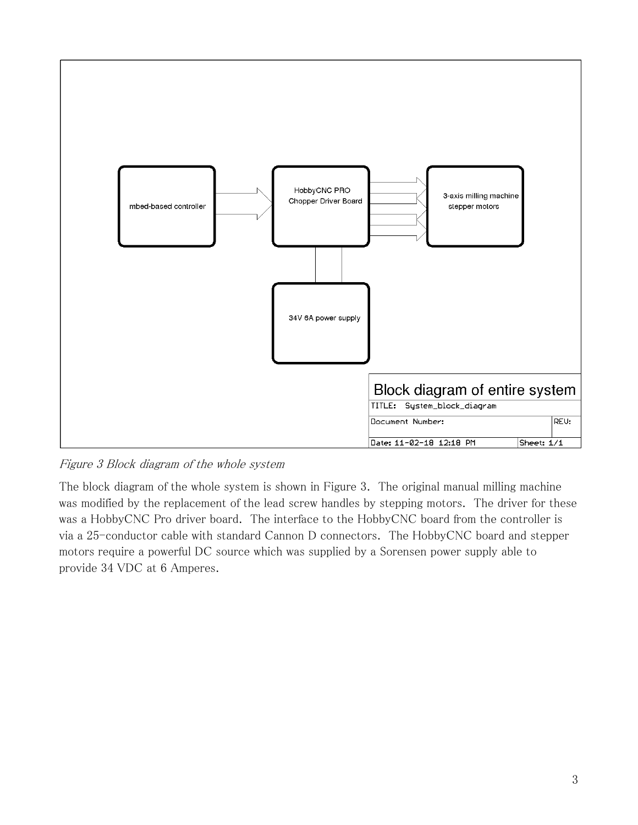

Figure 3 Block diagram of the whole system

The block diagram of the whole system is shown in Figure 3. The original manual milling machine was modified by the replacement of the lead screw handles by stepping motors. The driver for these was a HobbyCNC Pro driver board. The interface to the HobbyCNC board from the controller is via a 25-conductor cable with standard Cannon D connectors. The HobbyCNC board and stepper motors require a powerful DC source which was supplied by a Sorensen power supply able to provide 34 VDC at 6 Amperes.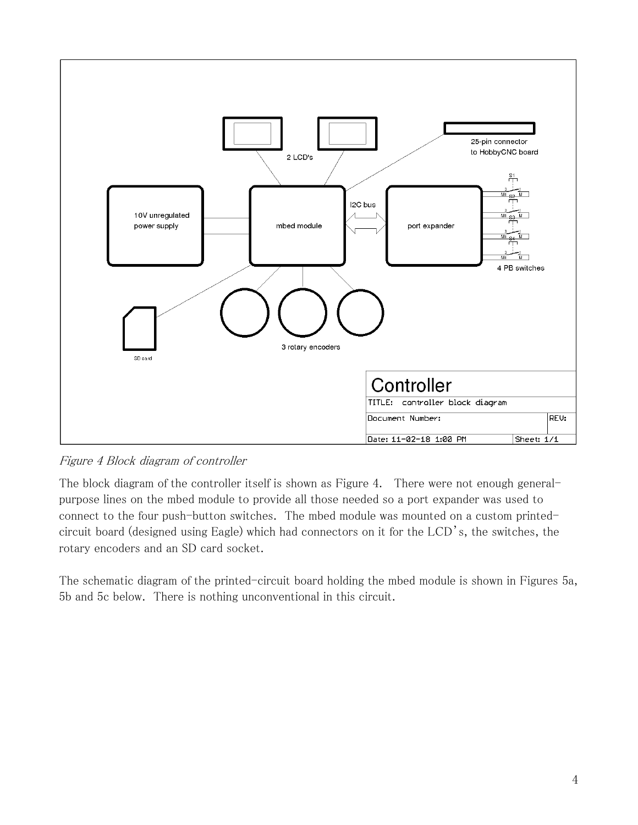

Figure 4 Block diagram of controller

The block diagram of the controller itself is shown as Figure 4. There were not enough generalpurpose lines on the mbed module to provide all those needed so a port expander was used to connect to the four push-button switches. The mbed module was mounted on a custom printedcircuit board (designed using Eagle) which had connectors on it for the LCD's, the switches, the rotary encoders and an SD card socket.

The schematic diagram of the printed-circuit board holding the mbed module is shown in Figures 5a, 5b and 5c below. There is nothing unconventional in this circuit.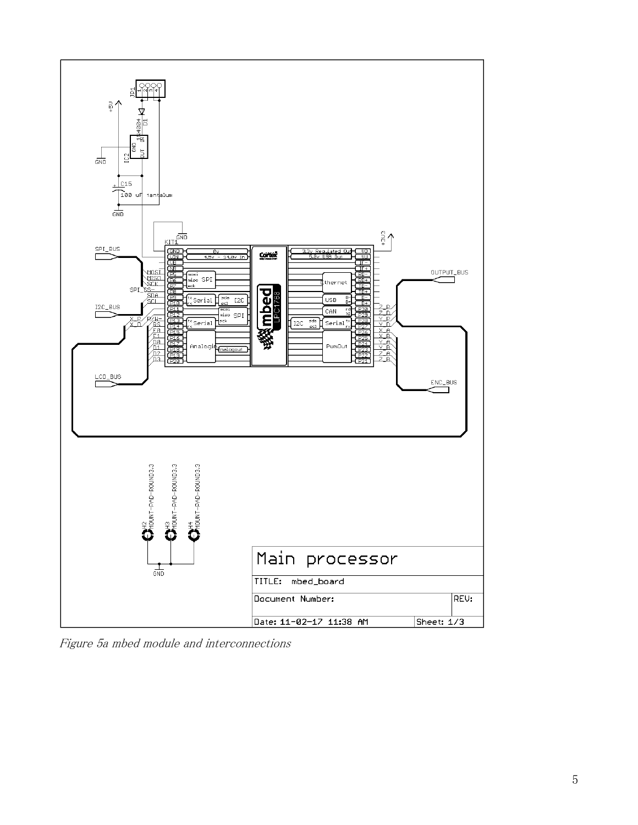

Figure 5a mbed module and interconnections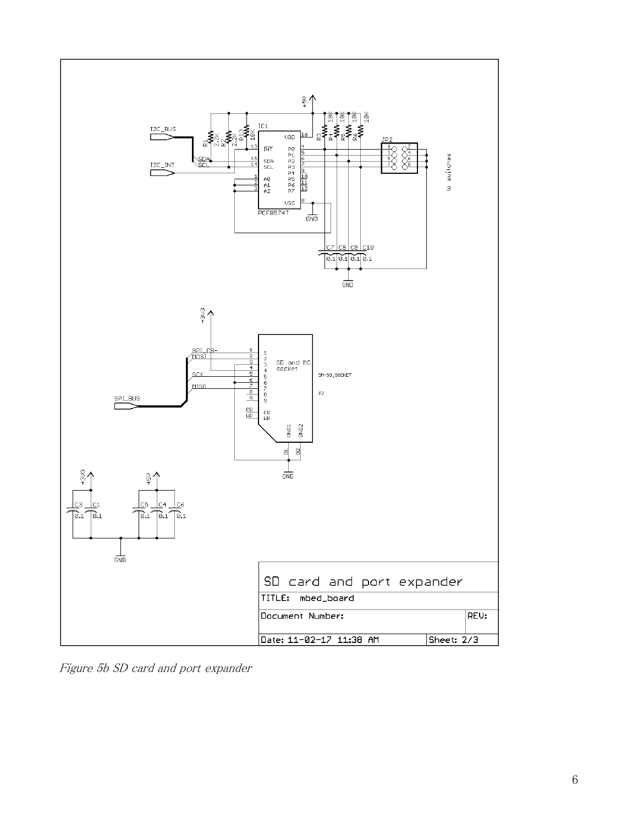

Figure 5b SD card and port expander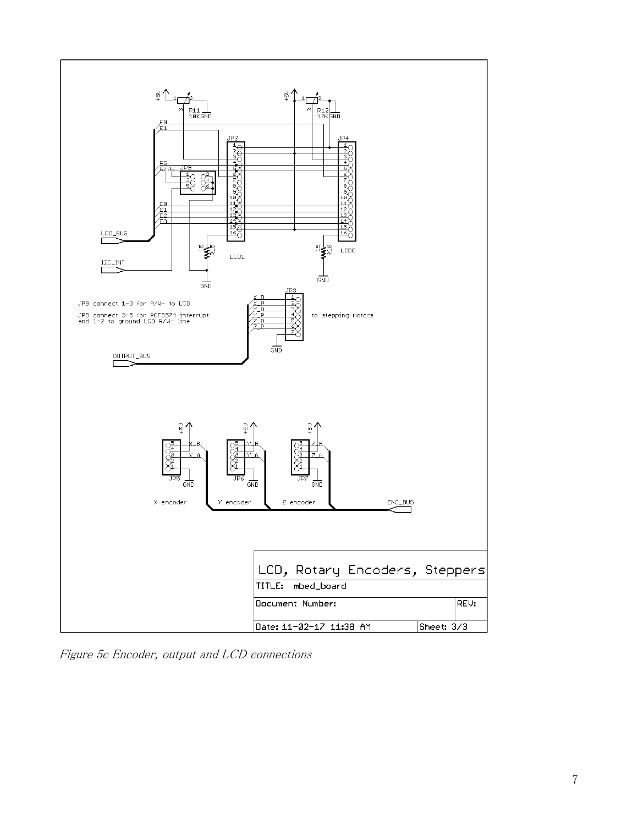

Figure 5c Encoder, output and LCD connections